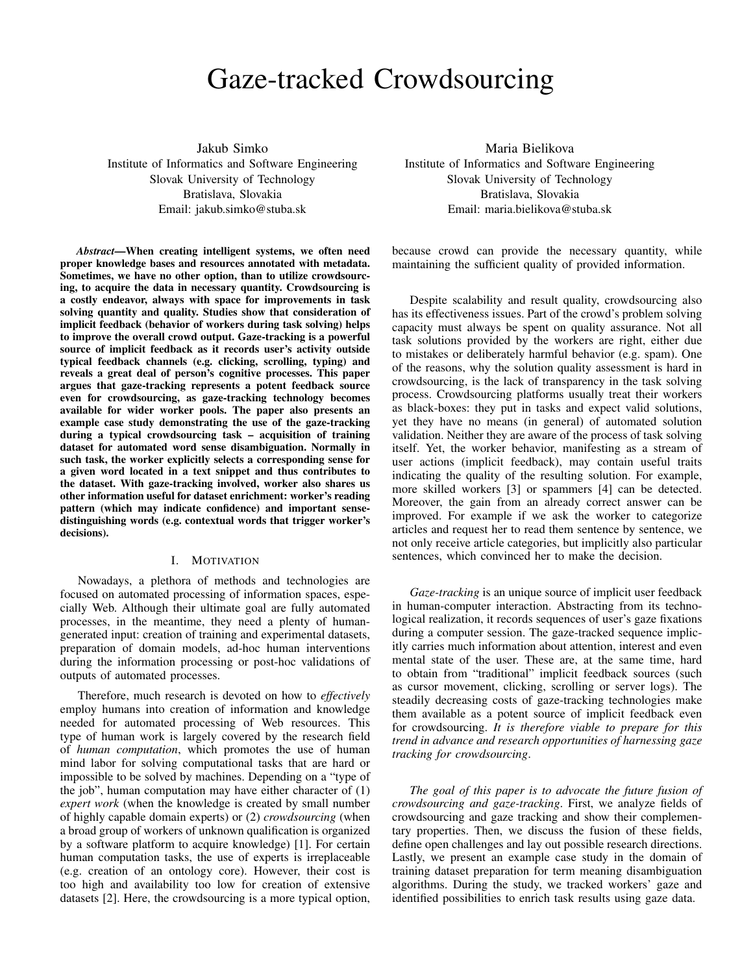# Gaze-tracked Crowdsourcing

Jakub Simko Institute of Informatics and Software Engineering Slovak University of Technology Bratislava, Slovakia Email: jakub.simko@stuba.sk

*Abstract*—When creating intelligent systems, we often need proper knowledge bases and resources annotated with metadata. Sometimes, we have no other option, than to utilize crowdsourcing, to acquire the data in necessary quantity. Crowdsourcing is a costly endeavor, always with space for improvements in task solving quantity and quality. Studies show that consideration of implicit feedback (behavior of workers during task solving) helps to improve the overall crowd output. Gaze-tracking is a powerful source of implicit feedback as it records user's activity outside typical feedback channels (e.g. clicking, scrolling, typing) and reveals a great deal of person's cognitive processes. This paper argues that gaze-tracking represents a potent feedback source even for crowdsourcing, as gaze-tracking technology becomes available for wider worker pools. The paper also presents an example case study demonstrating the use of the gaze-tracking during a typical crowdsourcing task – acquisition of training dataset for automated word sense disambiguation. Normally in such task, the worker explicitly selects a corresponding sense for a given word located in a text snippet and thus contributes to the dataset. With gaze-tracking involved, worker also shares us other information useful for dataset enrichment: worker's reading pattern (which may indicate confidence) and important sensedistinguishing words (e.g. contextual words that trigger worker's decisions).

#### I. MOTIVATION

Nowadays, a plethora of methods and technologies are focused on automated processing of information spaces, especially Web. Although their ultimate goal are fully automated processes, in the meantime, they need a plenty of humangenerated input: creation of training and experimental datasets, preparation of domain models, ad-hoc human interventions during the information processing or post-hoc validations of outputs of automated processes.

Therefore, much research is devoted on how to *effectively* employ humans into creation of information and knowledge needed for automated processing of Web resources. This type of human work is largely covered by the research field of *human computation*, which promotes the use of human mind labor for solving computational tasks that are hard or impossible to be solved by machines. Depending on a "type of the job", human computation may have either character of (1) *expert work* (when the knowledge is created by small number of highly capable domain experts) or (2) *crowdsourcing* (when a broad group of workers of unknown qualification is organized by a software platform to acquire knowledge) [1]. For certain human computation tasks, the use of experts is irreplaceable (e.g. creation of an ontology core). However, their cost is too high and availability too low for creation of extensive datasets [2]. Here, the crowdsourcing is a more typical option,

Maria Bielikova Institute of Informatics and Software Engineering Slovak University of Technology Bratislava, Slovakia Email: maria.bielikova@stuba.sk

because crowd can provide the necessary quantity, while maintaining the sufficient quality of provided information.

Despite scalability and result quality, crowdsourcing also has its effectiveness issues. Part of the crowd's problem solving capacity must always be spent on quality assurance. Not all task solutions provided by the workers are right, either due to mistakes or deliberately harmful behavior (e.g. spam). One of the reasons, why the solution quality assessment is hard in crowdsourcing, is the lack of transparency in the task solving process. Crowdsourcing platforms usually treat their workers as black-boxes: they put in tasks and expect valid solutions, yet they have no means (in general) of automated solution validation. Neither they are aware of the process of task solving itself. Yet, the worker behavior, manifesting as a stream of user actions (implicit feedback), may contain useful traits indicating the quality of the resulting solution. For example, more skilled workers [3] or spammers [4] can be detected. Moreover, the gain from an already correct answer can be improved. For example if we ask the worker to categorize articles and request her to read them sentence by sentence, we not only receive article categories, but implicitly also particular sentences, which convinced her to make the decision.

*Gaze-tracking* is an unique source of implicit user feedback in human-computer interaction. Abstracting from its technological realization, it records sequences of user's gaze fixations during a computer session. The gaze-tracked sequence implicitly carries much information about attention, interest and even mental state of the user. These are, at the same time, hard to obtain from "traditional" implicit feedback sources (such as cursor movement, clicking, scrolling or server logs). The steadily decreasing costs of gaze-tracking technologies make them available as a potent source of implicit feedback even for crowdsourcing. *It is therefore viable to prepare for this trend in advance and research opportunities of harnessing gaze tracking for crowdsourcing*.

*The goal of this paper is to advocate the future fusion of crowdsourcing and gaze-tracking*. First, we analyze fields of crowdsourcing and gaze tracking and show their complementary properties. Then, we discuss the fusion of these fields, define open challenges and lay out possible research directions. Lastly, we present an example case study in the domain of training dataset preparation for term meaning disambiguation algorithms. During the study, we tracked workers' gaze and identified possibilities to enrich task results using gaze data.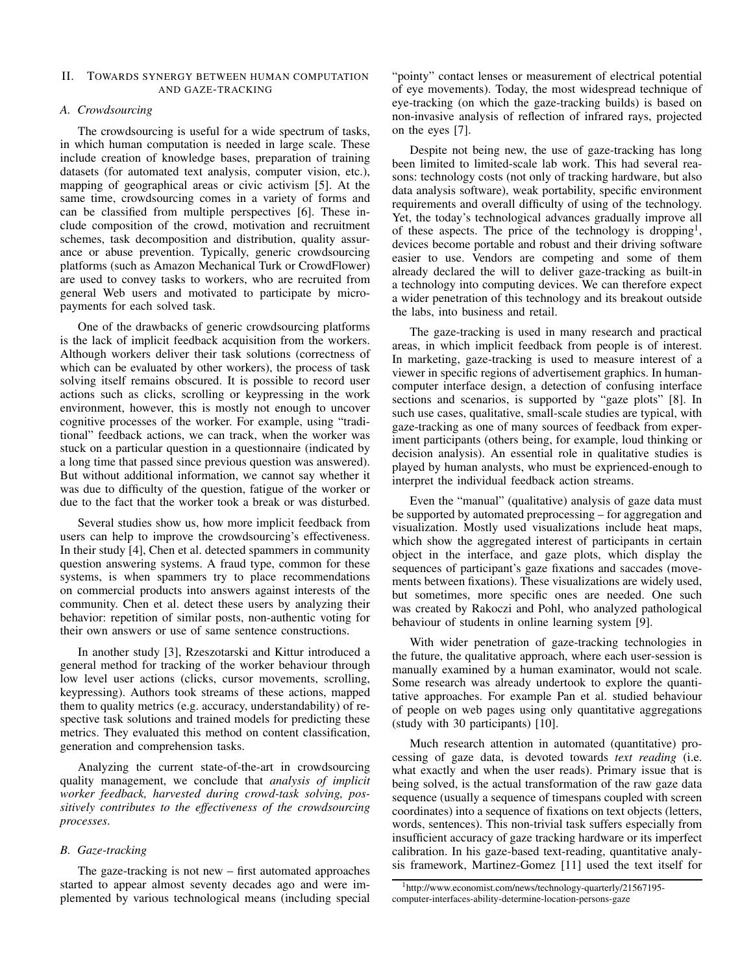#### II. TOWARDS SYNERGY BETWEEN HUMAN COMPUTATION AND GAZE-TRACKING

## *A. Crowdsourcing*

The crowdsourcing is useful for a wide spectrum of tasks, in which human computation is needed in large scale. These include creation of knowledge bases, preparation of training datasets (for automated text analysis, computer vision, etc.), mapping of geographical areas or civic activism [5]. At the same time, crowdsourcing comes in a variety of forms and can be classified from multiple perspectives [6]. These include composition of the crowd, motivation and recruitment schemes, task decomposition and distribution, quality assurance or abuse prevention. Typically, generic crowdsourcing platforms (such as Amazon Mechanical Turk or CrowdFlower) are used to convey tasks to workers, who are recruited from general Web users and motivated to participate by micropayments for each solved task.

One of the drawbacks of generic crowdsourcing platforms is the lack of implicit feedback acquisition from the workers. Although workers deliver their task solutions (correctness of which can be evaluated by other workers), the process of task solving itself remains obscured. It is possible to record user actions such as clicks, scrolling or keypressing in the work environment, however, this is mostly not enough to uncover cognitive processes of the worker. For example, using "traditional" feedback actions, we can track, when the worker was stuck on a particular question in a questionnaire (indicated by a long time that passed since previous question was answered). But without additional information, we cannot say whether it was due to difficulty of the question, fatigue of the worker or due to the fact that the worker took a break or was disturbed.

Several studies show us, how more implicit feedback from users can help to improve the crowdsourcing's effectiveness. In their study [4], Chen et al. detected spammers in community question answering systems. A fraud type, common for these systems, is when spammers try to place recommendations on commercial products into answers against interests of the community. Chen et al. detect these users by analyzing their behavior: repetition of similar posts, non-authentic voting for their own answers or use of same sentence constructions.

In another study [3], Rzeszotarski and Kittur introduced a general method for tracking of the worker behaviour through low level user actions (clicks, cursor movements, scrolling, keypressing). Authors took streams of these actions, mapped them to quality metrics (e.g. accuracy, understandability) of respective task solutions and trained models for predicting these metrics. They evaluated this method on content classification, generation and comprehension tasks.

Analyzing the current state-of-the-art in crowdsourcing quality management, we conclude that *analysis of implicit worker feedback, harvested during crowd-task solving, possitively contributes to the effectiveness of the crowdsourcing processes*.

## *B. Gaze-tracking*

The gaze-tracking is not new – first automated approaches started to appear almost seventy decades ago and were implemented by various technological means (including special "pointy" contact lenses or measurement of electrical potential of eye movements). Today, the most widespread technique of eye-tracking (on which the gaze-tracking builds) is based on non-invasive analysis of reflection of infrared rays, projected on the eyes [7].

Despite not being new, the use of gaze-tracking has long been limited to limited-scale lab work. This had several reasons: technology costs (not only of tracking hardware, but also data analysis software), weak portability, specific environment requirements and overall difficulty of using of the technology. Yet, the today's technological advances gradually improve all of these aspects. The price of the technology is dropping<sup>1</sup>, devices become portable and robust and their driving software easier to use. Vendors are competing and some of them already declared the will to deliver gaze-tracking as built-in a technology into computing devices. We can therefore expect a wider penetration of this technology and its breakout outside the labs, into business and retail.

The gaze-tracking is used in many research and practical areas, in which implicit feedback from people is of interest. In marketing, gaze-tracking is used to measure interest of a viewer in specific regions of advertisement graphics. In humancomputer interface design, a detection of confusing interface sections and scenarios, is supported by "gaze plots" [8]. In such use cases, qualitative, small-scale studies are typical, with gaze-tracking as one of many sources of feedback from experiment participants (others being, for example, loud thinking or decision analysis). An essential role in qualitative studies is played by human analysts, who must be exprienced-enough to interpret the individual feedback action streams.

Even the "manual" (qualitative) analysis of gaze data must be supported by automated preprocessing – for aggregation and visualization. Mostly used visualizations include heat maps, which show the aggregated interest of participants in certain object in the interface, and gaze plots, which display the sequences of participant's gaze fixations and saccades (movements between fixations). These visualizations are widely used, but sometimes, more specific ones are needed. One such was created by Rakoczi and Pohl, who analyzed pathological behaviour of students in online learning system [9].

With wider penetration of gaze-tracking technologies in the future, the qualitative approach, where each user-session is manually examined by a human examinator, would not scale. Some research was already undertook to explore the quantitative approaches. For example Pan et al. studied behaviour of people on web pages using only quantitative aggregations (study with 30 participants) [10].

Much research attention in automated (quantitative) processing of gaze data, is devoted towards *text reading* (i.e. what exactly and when the user reads). Primary issue that is being solved, is the actual transformation of the raw gaze data sequence (usually a sequence of timespans coupled with screen coordinates) into a sequence of fixations on text objects (letters, words, sentences). This non-trivial task suffers especially from insufficient accuracy of gaze tracking hardware or its imperfect calibration. In his gaze-based text-reading, quantitative analysis framework, Martinez-Gomez [11] used the text itself for

<sup>1</sup>http://www.economist.com/news/technology-quarterly/21567195 computer-interfaces-ability-determine-location-persons-gaze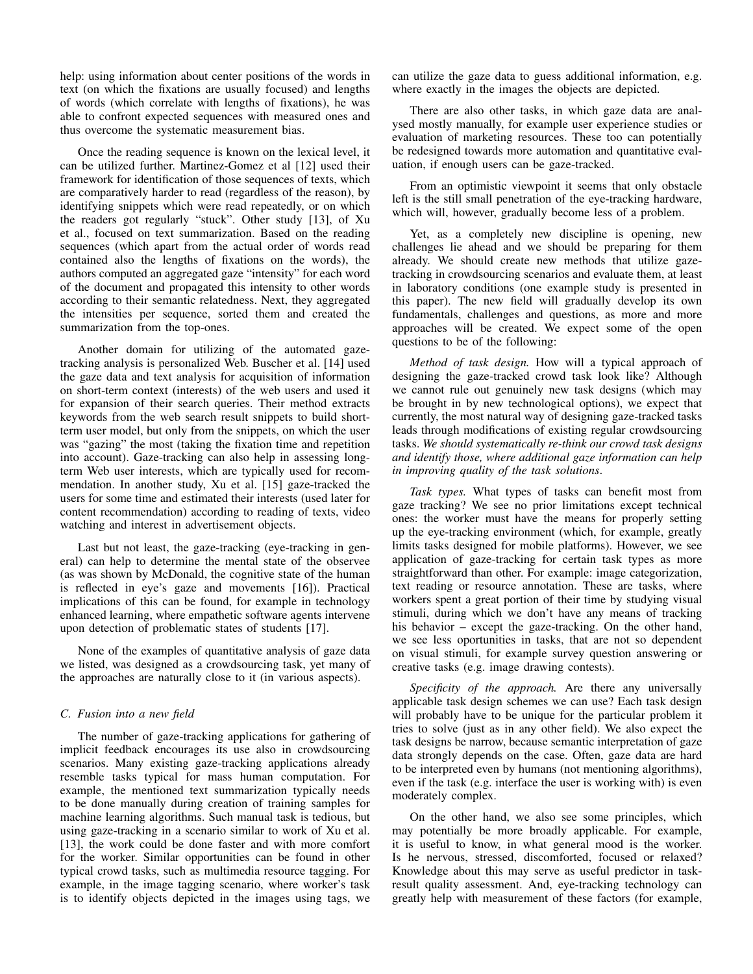help: using information about center positions of the words in text (on which the fixations are usually focused) and lengths of words (which correlate with lengths of fixations), he was able to confront expected sequences with measured ones and thus overcome the systematic measurement bias.

Once the reading sequence is known on the lexical level, it can be utilized further. Martinez-Gomez et al [12] used their framework for identification of those sequences of texts, which are comparatively harder to read (regardless of the reason), by identifying snippets which were read repeatedly, or on which the readers got regularly "stuck". Other study [13], of Xu et al., focused on text summarization. Based on the reading sequences (which apart from the actual order of words read contained also the lengths of fixations on the words), the authors computed an aggregated gaze "intensity" for each word of the document and propagated this intensity to other words according to their semantic relatedness. Next, they aggregated the intensities per sequence, sorted them and created the summarization from the top-ones.

Another domain for utilizing of the automated gazetracking analysis is personalized Web. Buscher et al. [14] used the gaze data and text analysis for acquisition of information on short-term context (interests) of the web users and used it for expansion of their search queries. Their method extracts keywords from the web search result snippets to build shortterm user model, but only from the snippets, on which the user was "gazing" the most (taking the fixation time and repetition into account). Gaze-tracking can also help in assessing longterm Web user interests, which are typically used for recommendation. In another study, Xu et al. [15] gaze-tracked the users for some time and estimated their interests (used later for content recommendation) according to reading of texts, video watching and interest in advertisement objects.

Last but not least, the gaze-tracking (eye-tracking in general) can help to determine the mental state of the observee (as was shown by McDonald, the cognitive state of the human is reflected in eye's gaze and movements [16]). Practical implications of this can be found, for example in technology enhanced learning, where empathetic software agents intervene upon detection of problematic states of students [17].

None of the examples of quantitative analysis of gaze data we listed, was designed as a crowdsourcing task, yet many of the approaches are naturally close to it (in various aspects).

## *C. Fusion into a new field*

The number of gaze-tracking applications for gathering of implicit feedback encourages its use also in crowdsourcing scenarios. Many existing gaze-tracking applications already resemble tasks typical for mass human computation. For example, the mentioned text summarization typically needs to be done manually during creation of training samples for machine learning algorithms. Such manual task is tedious, but using gaze-tracking in a scenario similar to work of Xu et al. [13], the work could be done faster and with more comfort for the worker. Similar opportunities can be found in other typical crowd tasks, such as multimedia resource tagging. For example, in the image tagging scenario, where worker's task is to identify objects depicted in the images using tags, we can utilize the gaze data to guess additional information, e.g. where exactly in the images the objects are depicted.

There are also other tasks, in which gaze data are analysed mostly manually, for example user experience studies or evaluation of marketing resources. These too can potentially be redesigned towards more automation and quantitative evaluation, if enough users can be gaze-tracked.

From an optimistic viewpoint it seems that only obstacle left is the still small penetration of the eye-tracking hardware, which will, however, gradually become less of a problem.

Yet, as a completely new discipline is opening, new challenges lie ahead and we should be preparing for them already. We should create new methods that utilize gazetracking in crowdsourcing scenarios and evaluate them, at least in laboratory conditions (one example study is presented in this paper). The new field will gradually develop its own fundamentals, challenges and questions, as more and more approaches will be created. We expect some of the open questions to be of the following:

*Method of task design.* How will a typical approach of designing the gaze-tracked crowd task look like? Although we cannot rule out genuinely new task designs (which may be brought in by new technological options), we expect that currently, the most natural way of designing gaze-tracked tasks leads through modifications of existing regular crowdsourcing tasks. *We should systematically re-think our crowd task designs and identify those, where additional gaze information can help in improving quality of the task solutions*.

*Task types.* What types of tasks can benefit most from gaze tracking? We see no prior limitations except technical ones: the worker must have the means for properly setting up the eye-tracking environment (which, for example, greatly limits tasks designed for mobile platforms). However, we see application of gaze-tracking for certain task types as more straightforward than other. For example: image categorization, text reading or resource annotation. These are tasks, where workers spent a great portion of their time by studying visual stimuli, during which we don't have any means of tracking his behavior – except the gaze-tracking. On the other hand, we see less oportunities in tasks, that are not so dependent on visual stimuli, for example survey question answering or creative tasks (e.g. image drawing contests).

*Specificity of the approach.* Are there any universally applicable task design schemes we can use? Each task design will probably have to be unique for the particular problem it tries to solve (just as in any other field). We also expect the task designs be narrow, because semantic interpretation of gaze data strongly depends on the case. Often, gaze data are hard to be interpreted even by humans (not mentioning algorithms), even if the task (e.g. interface the user is working with) is even moderately complex.

On the other hand, we also see some principles, which may potentially be more broadly applicable. For example, it is useful to know, in what general mood is the worker. Is he nervous, stressed, discomforted, focused or relaxed? Knowledge about this may serve as useful predictor in taskresult quality assessment. And, eye-tracking technology can greatly help with measurement of these factors (for example,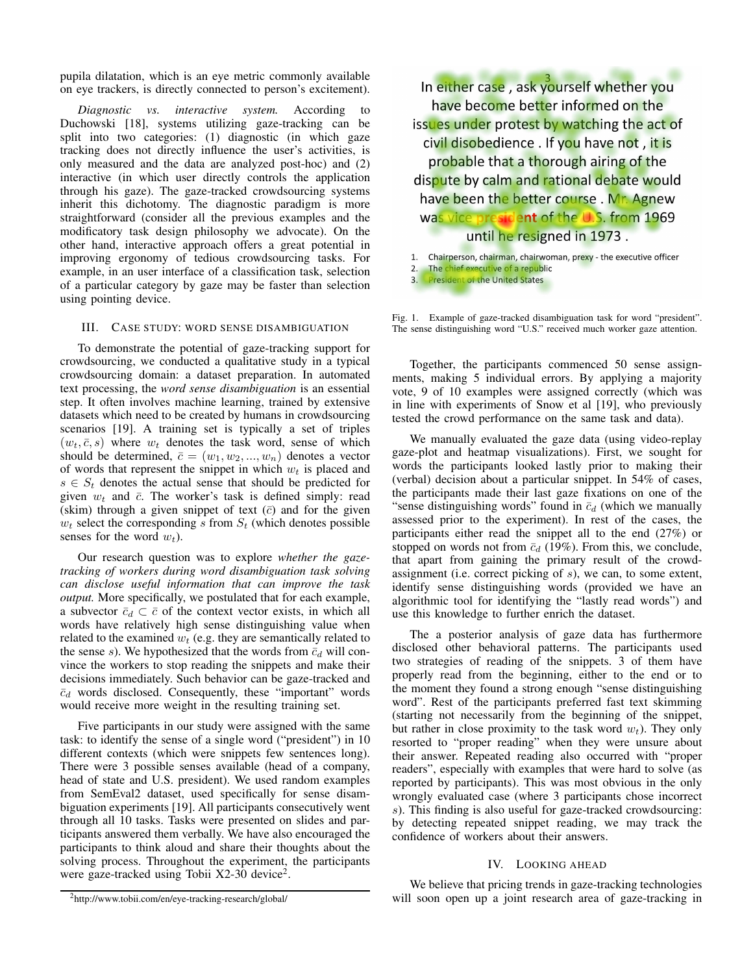pupila dilatation, which is an eye metric commonly available on eye trackers, is directly connected to person's excitement).

*Diagnostic vs. interactive system.* According to Duchowski [18], systems utilizing gaze-tracking can be split into two categories: (1) diagnostic (in which gaze tracking does not directly influence the user's activities, is only measured and the data are analyzed post-hoc) and (2) interactive (in which user directly controls the application through his gaze). The gaze-tracked crowdsourcing systems inherit this dichotomy. The diagnostic paradigm is more straightforward (consider all the previous examples and the modificatory task design philosophy we advocate). On the other hand, interactive approach offers a great potential in improving ergonomy of tedious crowdsourcing tasks. For example, in an user interface of a classification task, selection of a particular category by gaze may be faster than selection using pointing device.

## III. CASE STUDY: WORD SENSE DISAMBIGUATION

To demonstrate the potential of gaze-tracking support for crowdsourcing, we conducted a qualitative study in a typical crowdsourcing domain: a dataset preparation. In automated text processing, the *word sense disambiguation* is an essential step. It often involves machine learning, trained by extensive datasets which need to be created by humans in crowdsourcing scenarios [19]. A training set is typically a set of triples  $(w_t, \bar{c}, s)$  where  $w_t$  denotes the task word, sense of which should be determined,  $\bar{c} = (w_1, w_2, ..., w_n)$  denotes a vector of words that represent the snippet in which  $w_t$  is placed and  $s \in S_t$  denotes the actual sense that should be predicted for given  $w_t$  and  $\bar{c}$ . The worker's task is defined simply: read (skim) through a given snippet of text  $(\bar{c})$  and for the given  $w_t$  select the corresponding s from  $S_t$  (which denotes possible senses for the word  $w_t$ ).

Our research question was to explore *whether the gazetracking of workers during word disambiguation task solving can disclose useful information that can improve the task output.* More specifically, we postulated that for each example, a subvector  $\bar{c}_d \subset \bar{c}$  of the context vector exists, in which all words have relatively high sense distinguishing value when related to the examined  $w_t$  (e.g. they are semantically related to the sense s). We hypothesized that the words from  $\bar{c}_d$  will convince the workers to stop reading the snippets and make their decisions immediately. Such behavior can be gaze-tracked and  $\bar{c}_d$  words disclosed. Consequently, these "important" words would receive more weight in the resulting training set.

Five participants in our study were assigned with the same task: to identify the sense of a single word ("president") in 10 different contexts (which were snippets few sentences long). There were 3 possible senses available (head of a company, head of state and U.S. president). We used random examples from SemEval2 dataset, used specifically for sense disambiguation experiments [19]. All participants consecutively went through all 10 tasks. Tasks were presented on slides and participants answered them verbally. We have also encouraged the participants to think aloud and share their thoughts about the solving process. Throughout the experiment, the participants were gaze-tracked using Tobii X2-30 device<sup>2</sup>.

In either case, ask yourself whether you have become better informed on the issues under protest by watching the act of civil disobedience. If you have not, it is probable that a thorough airing of the dispute by calm and rational debate would have been the better course. Mr. Agnew was vice president of the U.S. from 1969 until he resigned in 1973.

1. Chairperson, chairman, chairwoman, prexy - the executive officer

- 2. The chief executive of a republic
- 3. President of the United States

Fig. 1. Example of gaze-tracked disambiguation task for word "president". The sense distinguishing word "U.S." received much worker gaze attention.

Together, the participants commenced 50 sense assignments, making 5 individual errors. By applying a majority vote, 9 of 10 examples were assigned correctly (which was in line with experiments of Snow et al [19], who previously tested the crowd performance on the same task and data).

We manually evaluated the gaze data (using video-replay gaze-plot and heatmap visualizations). First, we sought for words the participants looked lastly prior to making their (verbal) decision about a particular snippet. In 54% of cases, the participants made their last gaze fixations on one of the "sense distinguishing words" found in  $\bar{c}_d$  (which we manually assessed prior to the experiment). In rest of the cases, the participants either read the snippet all to the end (27%) or stopped on words not from  $\bar{c}_d$  (19%). From this, we conclude, that apart from gaining the primary result of the crowdassignment (i.e. correct picking of s), we can, to some extent, identify sense distinguishing words (provided we have an algorithmic tool for identifying the "lastly read words") and use this knowledge to further enrich the dataset.

The a posterior analysis of gaze data has furthermore disclosed other behavioral patterns. The participants used two strategies of reading of the snippets. 3 of them have properly read from the beginning, either to the end or to the moment they found a strong enough "sense distinguishing word". Rest of the participants preferred fast text skimming (starting not necessarily from the beginning of the snippet, but rather in close proximity to the task word  $w_t$ ). They only resorted to "proper reading" when they were unsure about their answer. Repeated reading also occurred with "proper readers", especially with examples that were hard to solve (as reported by participants). This was most obvious in the only wrongly evaluated case (where 3 participants chose incorrect s). This finding is also useful for gaze-tracked crowdsourcing: by detecting repeated snippet reading, we may track the confidence of workers about their answers.

## IV. LOOKING AHEAD

We believe that pricing trends in gaze-tracking technologies will soon open up a joint research area of gaze-tracking in

<sup>2</sup>http://www.tobii.com/en/eye-tracking-research/global/